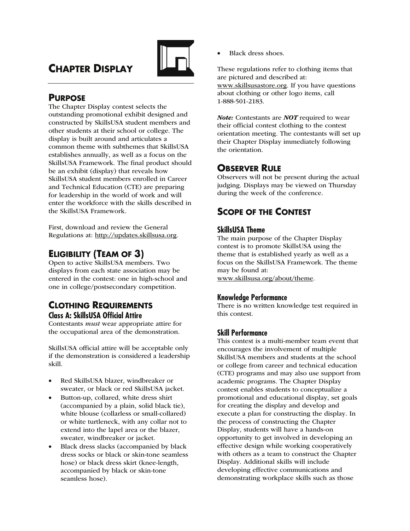# **CHAPTER DISPLAY**



# **PURPOSE**

The Chapter Display contest selects the outstanding promotional exhibit designed and constructed by SkillsUSA student members and other students at their school or college. The display is built around and articulates a common theme with subthemes that SkillsUSA establishes annually, as well as a focus on the SkillsUSA Framework. The final product should be an exhibit (display) that reveals how SkillsUSA student members enrolled in Career and Technical Education (CTE) are preparing for leadership in the world of work and will enter the workforce with the skills described in the SkillsUSA Framework.

First, download and review the General Regulations at: http://updates.skillsusa.org.

# **ELIGIBILITY (TEAM OF 3)**

Open to active SkillsUSA members. Two displays from each state association may be entered in the contest: one in high-school and one in college/postsecondary competition.

## **CLOTHING REQUIREMENTS Class A: SkillsUSA Official Attire**

Contestants must wear appropriate attire for the occupational area of the demonstration.

SkillsUSA official attire will be acceptable only if the demonstration is considered a leadership skill.

- Red SkillsUSA blazer, windbreaker or sweater, or black or red SkillsUSA jacket.
- Button-up, collared, white dress shirt (accompanied by a plain, solid black tie), white blouse (collarless or small-collared) or white turtleneck, with any collar not to extend into the lapel area or the blazer, sweater, windbreaker or jacket.
- Black dress slacks (accompanied by black dress socks or black or skin-tone seamless hose) or black dress skirt (knee-length, accompanied by black or skin-tone seamless hose).

• Black dress shoes.

These regulations refer to clothing items that are pictured and described at: www.skillsusastore.org. If you have questions about clothing or other logo items, call 1-888-501-2183.

Note: Contestants are NOT required to wear their official contest clothing to the contest orientation meeting. The contestants will set up their Chapter Display immediately following the orientation.

# **OBSERVER RULE**

Observers will not be present during the actual judging. Displays may be viewed on Thursday during the week of the conference.

# **SCOPE OF THE CONTEST**

### **SkillsUSA Theme**

The main purpose of the Chapter Display contest is to promote SkillsUSA using the theme that is established yearly as well as a focus on the SkillsUSA Framework. The theme may be found at: www.skillsusa.org/about/theme.

### **Knowledge Performance**

There is no written knowledge test required in this contest.

### **Skill Performance**

This contest is a multi-member team event that encourages the involvement of multiple SkillsUSA members and students at the school or college from career and technical education (CTE) programs and may also use support from academic programs. The Chapter Display contest enables students to conceptualize a promotional and educational display, set goals for creating the display and develop and execute a plan for constructing the display. In the process of constructing the Chapter Display, students will have a hands-on opportunity to get involved in developing an effective design while working cooperatively with others as a team to construct the Chapter Display. Additional skills will include developing effective communications and demonstrating workplace skills such as those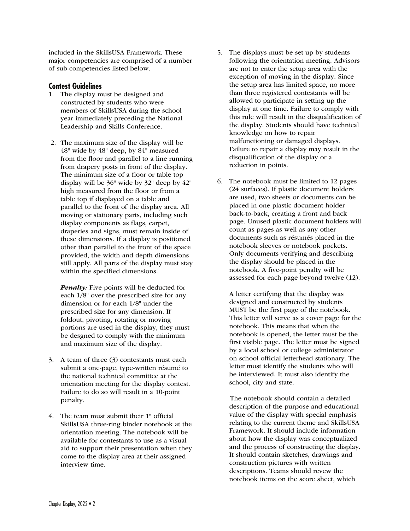included in the SkillsUSA Framework. These major competencies are comprised of a number of sub-competencies listed below.

#### **Contest Guidelines**

- 1. The display must be designed and constructed by students who were members of SkillsUSA during the school year immediately preceding the National Leadership and Skills Conference.
- 2. The maximum size of the display will be 48" wide by 48" deep, by 84" measured from the floor and parallel to a line running from drapery posts in front of the display. The minimum size of a floor or table top display will be 36" wide by 32" deep by 42" high measured from the floor or from a table top if displayed on a table and parallel to the front of the display area. All moving or stationary parts, including such display components as flags, carpet, draperies and signs, must remain inside of these dimensions. If a display is positioned other than parallel to the front of the space provided, the width and depth dimensions still apply. All parts of the display must stay within the specified dimensions.

**Penalty:** Five points will be deducted for each 1/8" over the prescribed size for any dimension or for each 1/8" under the prescribed size for any dimension. If foldout, pivoting, rotating or moving portions are used in the display, they must be desgned to comply with the minimum and maximum size of the display.

- 3. A team of three (3) contestants must each submit a one-page, type-written résumé to the national technical committee at the orientation meeting for the display contest. Failure to do so will result in a 10-point penalty.
- 4. The team must submit their 1" official SkillsUSA three-ring binder notebook at the orientation meeting. The notebook will be available for contestants to use as a visual aid to support their presentation when they come to the display area at their assigned interview time.
- 5. The displays must be set up by students following the orientation meeting. Advisors are not to enter the setup area with the exception of moving in the display. Since the setup area has limited space, no more than three registered contestants will be allowed to participate in setting up the display at one time. Failure to comply with this rule will result in the disqualification of the display. Students should have technical knowledge on how to repair malfunctioning or damaged displays. Failure to repair a display may result in the disqualification of the display or a reduction in points.
- 6. The notebook must be limited to 12 pages (24 surfaces). If plastic document holders are used, two sheets or documents can be placed in one plastic document holder back-to-back, creating a front and back page. Unused plastic document holders will count as pages as well as any other documents such as résumés placed in the notebook sleeves or notebook pockets. Only documents verifying and describing the display should be placed in the notebook. A five-point penalty will be assessed for each page beyond twelve (12).

 A letter certifying that the display was designed and constructed by students MUST be the first page of the notebook. This letter will serve as a cover page for the notebook. This means that when the notebook is opened, the letter must be the first visible page. The letter must be signed by a local school or college administrator on school official letterhead stationary. The letter must identify the students who will be interviewed. It must also identify the school, city and state.

 The notebook should contain a detailed description of the purpose and educational value of the display with special emphasis relating to the current theme and SkillsUSA Framework. It should include information about how the display was conceptualized and the process of constructing the display. It should contain sketches, drawings and construction pictures with written descriptions. Teams should revew the notebook items on the score sheet, which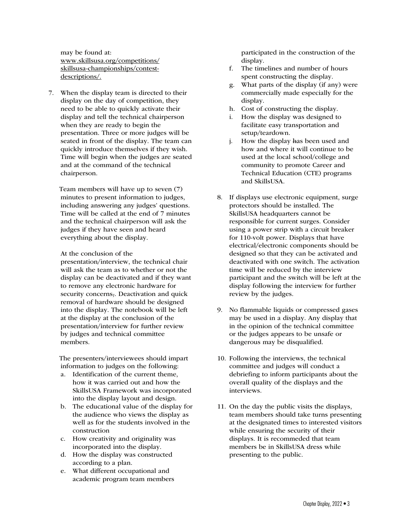may be found at: www.skillsusa.org/competitions/ skillsusa-championships/contestdescriptions/.

7. When the display team is directed to their display on the day of competition, they need to be able to quickly activate their display and tell the technical chairperson when they are ready to begin the presentation. Three or more judges will be seated in front of the display. The team can quickly introduce themselves if they wish. Time will begin when the judges are seated and at the command of the technical chairperson.

 Team members will have up to seven (7) minutes to present information to judges, including answering any judges' questions. Time will be called at the end of 7 minutes and the technical chairperson will ask the judges if they have seen and heard everything about the display.

#### At the conclusion of the

presentation/interview, the technical chair will ask the team as to whether or not the display can be deactivated and if they want to remove any electronic hardware for security concerns,. Deactivation and quick removal of hardware should be designed into the display. The notebook will be left at the display at the conclusion of the presentation/interview for further review by judges and technical committee members.

 The presenters/interviewees should impart information to judges on the following:

- a. Identification of the current theme, how it was carried out and how the SkillsUSA Framework was incorporated into the display layout and design.
- b. The educational value of the display for the audience who views the display as well as for the students involved in the construction
- c. How creativity and originality was incorporated into the display.
- d. How the display was constructed according to a plan.
- e. What different occupational and academic program team members

participated in the construction of the display.

- f. The timelines and number of hours spent constructing the display.
- g. What parts of the display (if any) were commercially made especially for the display.
- h. Cost of constructing the display.
- i. How the display was designed to facilitate easy transportation and setup/teardown.
- j. How the display has been used and how and where it will continue to be used at the local school/college and community to promote Career and Technical Education (CTE) programs and SkillsUSA.
- 8. If displays use electronic equipment, surge protectors should be installed. The SkillsUSA headquarters cannot be responsible for current surges. Consider using a power strip with a circuit breaker for 110-volt power. Displays that have electrical/electronic components should be designed so that they can be activated and deactivated with one switch. The activation time will be reduced by the interview participant and the switch will be left at the display following the interview for further review by the judges.
- 9. No flammable liquids or compressed gases may be used in a display. Any display that in the opinion of the technical committee or the judges appears to be unsafe or dangerous may be disqualified.
- 10. Following the interviews, the technical committee and judges will conduct a debriefing to inform participants about the overall quality of the displays and the interviews.
- 11. On the day the public visits the displays, team members should take turns presenting at the designated times to interested visitors while ensuring the security of their displays. It is recommeded that team members be in SkillsUSA dress while presenting to the public.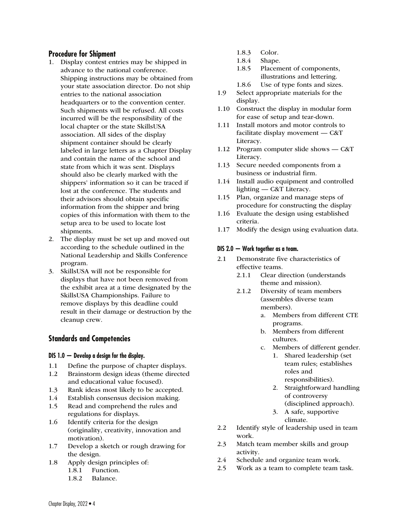#### **Procedure for Shipment**

- 1. Display contest entries may be shipped in advance to the national conference. Shipping instructions may be obtained from your state association director. Do not ship entries to the national association headquarters or to the convention center. Such shipments will be refused. All costs incurred will be the responsibility of the local chapter or the state SkillsUSA association. All sides of the display shipment container should be clearly labeled in large letters as a Chapter Display and contain the name of the school and state from which it was sent. Displays should also be clearly marked with the shippers' information so it can be traced if lost at the conference. The students and their advisors should obtain specific information from the shipper and bring copies of this information with them to the setup area to be used to locate lost shipments.
- 2. The display must be set up and moved out according to the schedule outlined in the National Leadership and Skills Conference program.
- 3. SkillsUSA will not be responsible for displays that have not been removed from the exhibit area at a time designated by the SkillsUSA Championships. Failure to remove displays by this deadline could result in their damage or destruction by the cleanup crew.

### **Standards and Competencies**

#### **DIS 1.0 — Develop a design for the display.**

- 1.1 Define the purpose of chapter displays.
- 1.2 Brainstorm design ideas (theme directed and educational value focused).
- 1.3 Rank ideas most likely to be accepted.
- 1.4 Establish consensus decision making.
- 1.5 Read and comprehend the rules and regulations for displays.
- 1.6 Identify criteria for the design (originality, creativity, innovation and motivation).
- 1.7 Develop a sketch or rough drawing for the design.
- 1.8 Apply design principles of:
	- 1.8.1 Function.
	- 1.8.2 Balance.
- 1.8.3 Color.
- 1.8.4 Shape.
- 1.8.5 Placement of components, illustrations and lettering.
- 1.8.6 Use of type fonts and sizes.
- 1.9 Select appropriate materials for the display.
- 1.10 Construct the display in modular form for ease of setup and tear-down.
- 1.11 Install motors and motor controls to facilitate display movement — C&T Literacy.
- 1.12 Program computer slide shows C&T Literacy.
- 1.13 Secure needed components from a business or industrial firm.
- 1.14 Install audio equipment and controlled lighting — C&T Literacy.
- 1.15 Plan, organize and manage steps of procedure for constructing the display
- 1.16 Evaluate the design using established criteria.
- 1.17 Modify the design using evaluation data.

#### **DIS 2.0 — Work together as a team.**

- 2.1 Demonstrate five characteristics of effective teams.
	- 2.1.1 Clear direction (understands) theme and mission).
	- 2.1.2 Diversity of team members (assembles diverse team members).
		- a. Members from different CTE programs.
		- b. Members from different cultures.
		- c. Members of different gender.
			- 1. Shared leadership (set team rules; establishes roles and responsibilities).
			- 2. Straightforward handling of controversy (disciplined approach).
			- 3. A safe, supportive climate.
- 2.2 Identify style of leadership used in team work.
- 2.3 Match team member skills and group activity.
- 2.4 Schedule and organize team work.
- 2.5 Work as a team to complete team task.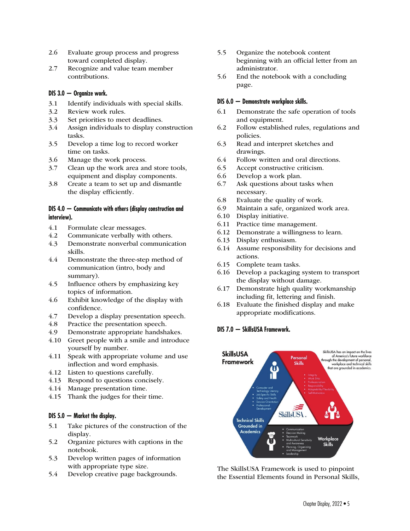- 2.6 Evaluate group process and progress toward completed display.
- 2.7 Recognize and value team member contributions.

#### **DIS 3.0 — Organize work.**

- 3.1 Identify individuals with special skills.
- 3.2 Review work rules.
- 3.3 Set priorities to meet deadlines.
- 3.4 Assign individuals to display construction tasks.
- 3.5 Develop a time log to record worker time on tasks.
- 3.6 Manage the work process.
- 3.7 Clean up the work area and store tools, equipment and display components.
- 3.8 Create a team to set up and dismantle the display efficiently.

#### **DIS 4.0 — Communicate with others (display construction and interview).**

- 4.1 Formulate clear messages.
- 4.2 Communicate verbally with others.<br>4.3 Demonstrate nonverbal communica
- 4.3 Demonstrate nonverbal communication skills.
- 4.4 Demonstrate the three-step method of communication (intro, body and summary).
- 4.5 Influence others by emphasizing key topics of information.
- 4.6 Exhibit knowledge of the display with confidence.
- 4.7 Develop a display presentation speech.
- 4.8 Practice the presentation speech.
- 4.9 Demonstrate appropriate handshakes.
- 4.10 Greet people with a smile and introduce yourself by number.
- 4.11 Speak with appropriate volume and use inflection and word emphasis.
- 4.12 Listen to questions carefully.
- 4.13 Respond to questions concisely.
- 4.14 Manage presentation time.
- 4.15 Thank the judges for their time.

#### **DIS 5.0 — Market the display.**

- 5.1 Take pictures of the construction of the display.
- 5.2 Organize pictures with captions in the notebook.
- 5.3 Develop written pages of information with appropriate type size.
- 5.4 Develop creative page backgrounds.
- 5.5 Organize the notebook content beginning with an official letter from an administrator.
- 5.6 End the notebook with a concluding page.

#### **DIS 6.0 — Demonstrate workplace skills.**

- 6.1 Demonstrate the safe operation of tools and equipment.
- 6.2 Follow established rules, regulations and policies.
- 6.3 Read and interpret sketches and drawings.
- 6.4 Follow written and oral directions.
- 6.5 Accept constructive criticism.
- 6.6 Develop a work plan.
- 6.7 Ask questions about tasks when necessary.
- 6.8 Evaluate the quality of work.
- 6.9 Maintain a safe, organized work area.
- 6.10 Display initiative.
- 6.11 Practice time management.
- 6.12 Demonstrate a willingness to learn.
- 6.13 Display enthusiasm.
- 6.14 Assume responsibility for decisions and actions.
- 6.15 Complete team tasks.
- 6.16 Develop a packaging system to transport the display without damage.
- 6.17 Demonstrate high quality workmanship including fit, lettering and finish.
- 6.18 Evaluate the finished display and make appropriate modifications.

#### **DIS 7.0 — SkillsUSA Framework.**



The SkillsUSA Framework is used to pinpoint the Essential Elements found in Personal Skills,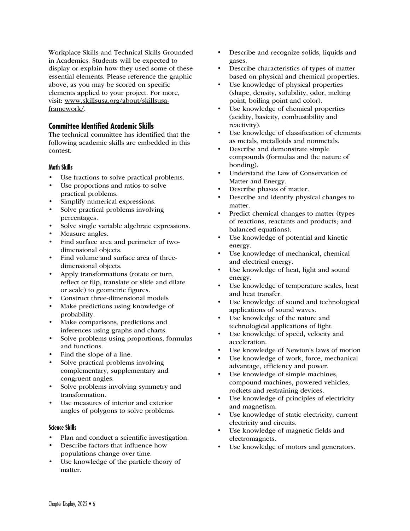Workplace Skills and Technical Skills Grounded in Academics. Students will be expected to display or explain how they used some of these essential elements. Please reference the graphic above, as you may be scored on specific elements applied to your project. For more, visit: www.skillsusa.org/about/skillsusaframework/.

### **Committee Identified Academic Skills**

The technical committee has identified that the following academic skills are embedded in this contest.

#### **Math Skills**

- Use fractions to solve practical problems.
- Use proportions and ratios to solve practical problems.
- Simplify numerical expressions.
- Solve practical problems involving percentages.
- Solve single variable algebraic expressions.
- Measure angles.
- Find surface area and perimeter of twodimensional objects.
- Find volume and surface area of threedimensional objects.
- Apply transformations (rotate or turn, reflect or flip, translate or slide and dilate or scale) to geometric figures.
- Construct three-dimensional models
- Make predictions using knowledge of probability.
- Make comparisons, predictions and inferences using graphs and charts.
- Solve problems using proportions, formulas and functions.
- Find the slope of a line.
- Solve practical problems involving complementary, supplementary and congruent angles.
- Solve problems involving symmetry and transformation.
- Use measures of interior and exterior angles of polygons to solve problems.

#### **Science Skills**

- Plan and conduct a scientific investigation.
- Describe factors that influence how populations change over time.
- Use knowledge of the particle theory of matter.
- Describe and recognize solids, liquids and gases.
- Describe characteristics of types of matter based on physical and chemical properties.
- Use knowledge of physical properties (shape, density, solubility, odor, melting point, boiling point and color).
- Use knowledge of chemical properties (acidity, basicity, combustibility and reactivity).
- Use knowledge of classification of elements as metals, metalloids and nonmetals.
- Describe and demonstrate simple compounds (formulas and the nature of bonding).
- Understand the Law of Conservation of Matter and Energy.
- Describe phases of matter.
- Describe and identify physical changes to matter.
- Predict chemical changes to matter (types of reactions, reactants and products; and balanced equations).
- Use knowledge of potential and kinetic energy.
- Use knowledge of mechanical, chemical and electrical energy.
- Use knowledge of heat, light and sound energy.
- Use knowledge of temperature scales, heat and heat transfer.
- Use knowledge of sound and technological applications of sound waves.
- Use knowledge of the nature and technological applications of light.
- Use knowledge of speed, velocity and acceleration.
- Use knowledge of Newton's laws of motion
- Use knowledge of work, force, mechanical advantage, efficiency and power.
- Use knowledge of simple machines, compound machines, powered vehicles, rockets and restraining devices.
- Use knowledge of principles of electricity and magnetism.
- Use knowledge of static electricity, current electricity and circuits.
- Use knowledge of magnetic fields and electromagnets.
- Use knowledge of motors and generators.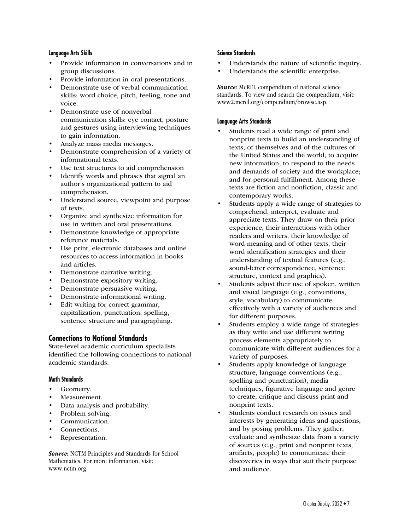#### **Language Arts Skills**

- Provide information in conversations and in group discussions.
- Provide information in oral presentations.
- Demonstrate use of verbal communication skills: word choice, pitch, feeling, tone and voice.
- Demonstrate use of nonverbal communication skills: eye contact, posture and gestures using interviewing techniques to gain information.
- Analyze mass media messages.
- Demonstrate comprehension of a variety of informational texts.
- Use text structures to aid comprehension
- Identify words and phrases that signal an author's organizational pattern to aid comprehension.
- Understand source, viewpoint and purpose of texts.
- Organize and synthesize information for use in written and oral presentations.
- Demonstrate knowledge of appropriate reference materials.
- Use print, electronic databases and online resources to access information in books and articles.
- Demonstrate narrative writing.
- Demonstrate expository writing.
- Demonstrate persuasive writing.
- Demonstrate informational writing.
- Edit writing for correct grammar, capitalization, punctuation, spelling, sentence structure and paragraphing.

#### **Connections to National Standards**

State-level academic curriculum specialists identified the following connections to national academic standards.

#### **Math Standards**

- Geometry.
- Measurement.
- Data analysis and probability.
- Problem solving.
- Communication.
- Connections.
- Representation.

Source: NCTM Principles and Standards for School Mathematics. For more information, visit: www.nctm.org.

#### **Science Standards**

- Understands the nature of scientific inquiry.
- Understands the scientific enterprise.

**Source:** McREL compendium of national science standards. To view and search the compendium, visit: www2.mcrel.org/compendium/browse.asp.

#### **Language Arts Standards**

- Students read a wide range of print and nonprint texts to build an understanding of texts, of themselves and of the cultures of the United States and the world; to acquire new information; to respond to the needs and demands of society and the workplace; and for personal fulfillment. Among these texts are fiction and nonfiction, classic and contemporary works.
- Students apply a wide range of strategies to comprehend, interpret, evaluate and appreciate texts. They draw on their prior experience, their interactions with other readers and writers, their knowledge of word meaning and of other texts, their word identification strategies and their understanding of textual features (e.g., sound-letter correspondence, sentence structure, context and graphics).
- Students adjust their use of spoken, written and visual language (e.g., conventions, style, vocabulary) to communicate effectively with a variety of audiences and for different purposes.
- Students employ a wide range of strategies as they write and use different writing process elements appropriately to communicate with different audiences for a variety of purposes.
- Students apply knowledge of language structure, language conventions (e.g., spelling and punctuation), media techniques, figurative language and genre to create, critique and discuss print and nonprint texts.
- Students conduct research on issues and interests by generating ideas and questions, and by posing problems. They gather, evaluate and synthesize data from a variety of sources (e.g., print and nonprint texts, artifacts, people) to communicate their discoveries in ways that suit their purpose and audience.